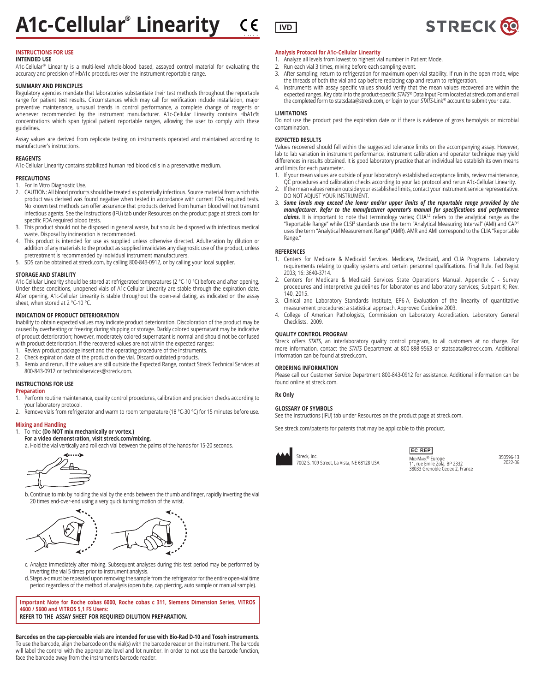

# **INTENDED USE**

A1c-Cellular® Linearity is a multi-level whole-blood based, assayed control material for evaluating the accuracy and precision of HbA1c procedures over the instrument reportable range.

# **SUMMARY AND PRINCIPLES**

Regulatory agencies mandate that laboratories substantiate their test methods throughout the reportable range for patient test results. Circumstances which may call for verification include installation, major preventive maintenance, unusual trends in control performance, a complete change of reagents or whenever recommended by the instrument manufacturer. A1c-Cellular Linearity contains HbA1c% concentrations which span typical patient reportable ranges, allowing the user to comply with these guidelines.

Assay values are derived from replicate testing on instruments operated and maintained according to manufacturer's instructions.

## **REAGENTS**

A1c-Cellular Linearity contains stabilized human red blood cells in a preservative medium.

# **PRECAUTIONS**

- 1. For In Vitro Diagnostic Use.
- 2. CAUTION: All blood products should be treated as potentially infectious. Source material from which this product was derived was found negative when tested in accordance with current FDA required tests. No known test methods can offer assurance that products derived from human blood will not transmit infectious agents. See the Instructions (IFU) tab under Resources on the product page at streck.com for specific FDA required blood tests.
- 3. This product should not be disposed in general waste, but should be disposed with infectious medical waste. Disposal by incineration is recommended.
- 4. This product is intended for use as supplied unless otherwise directed. Adulteration by dilution or addition of any materials to the product as supplied invalidates any diagnostic use of the product, unless pretreatment is recommended by individual instrument manufacturers.
- 5. SDS can be obtained at streck.com, by calling 800-843-0912, or by calling your local supplier.

## **STORAGE AND STABILITY**

A1c-Cellular Linearity should be stored at refrigerated temperatures (2 °C-10 °C) before and after opening. Under these conditions, unopened vials of A1c-Cellular Linearity are stable through the expiration date. After opening, A1c-Cellular Linearity is stable throughout the open-vial dating, as indicated on the assay sheet, when stored at 2 °C-10 °C.

# **INDICATION OF PRODUCT DETERIORATION**

Inability to obtain expected values may indicate product deterioration. Discoloration of the product may be caused by overheating or freezing during shipping or storage. Darkly colored supernatant may be indicative of product deterioration; however, moderately colored supernatant is normal and should not be confused with product deterioration. If the recovered values are not within the expected ranges:

- 1. Review product package insert and the operating procedure of the instruments.
- 2. Check expiration date of the product on the vial. Discard outdated products.<br>3. Remix and rerun. If the values are still outside the Expected Range, contact S
- Remix and rerun. If the values are still outside the Expected Range, contact Streck Technical Services at 800-843-0912 or technicalservices@streck.com.

# **INSTRUCTIONS FOR USE**

# **Preparation**

- 1. Perform routine maintenance, quality control procedures, calibration and precision checks according to your laboratory protocol.
- 2. Remove vials from refrigerator and warm to room temperature (18 °C-30 °C) for 15 minutes before use.

# **Mixing and Handling**<br>1. To mix: (Do NOT r

1. To mix: **(Do NOT mix mechanically or vortex.) For a video demonstration, visit streck.com/mixing.**

a. Hold the vial vertically and roll each vial between the palms of the hands for 15-20 seconds.



b. Continue to mix by holding the vial by the ends between the thumb and finger, rapidly inverting the vial 20 times end-over-end using a very quick turning motion of the wrist.



- c. Analyze immediately after mixing. Subsequent analyses during this test period may be performed by inverting the vial 5 times prior to instrument analysis.
- d. Steps a-c must be repeated upon removing the sample from the refrigerator for the entire open-vial time period regardless of the method of analysis (open tube, cap piercing, auto sample or manual sample).

**Important Note for Roche cobas 6000, Roche cobas c 311, Siemens Dimension Series, VITROS 4600 / 5600 and VITROS 5,1 FS Users: REFER TO THE ASSAY SHEET FOR REQUIRED DILUTION PREPARATION.**

**Barcodes on the cap-pierceable vials are intended for use with Bio-Rad D-10 and Tosoh instruments**. To use the barcode, align the barcode on the vial(s) with the barcode reader on the instrument. The barcode will label the control with the appropriate level and lot number. In order to not use the barcode function, face the barcode away from the instrument's barcode reader.

# **Analysis Protocol for A1c–Cellular Linearity**

- 1. Analyze all levels from lowest to highest vial number in Patient Mode.
- 2. Run each vial 3 times, mixing before each sampling event.
- 3. After sampling, return to refrigeration for maximum open-vial stability. If run in the open mode, wipe the threads of both the vial and cap before replacing cap and return to refrigeration.
- 4. Instruments with assay specific values should verify that the mean values recovered are within the expected ranges. Key data into the product-specific *STATS*® Data Input Form located at streck.com and email the completed form to statsdata@streck.com, or login to your *STATS*-Link*®* account to submit your data.

# **LIMITATIONS**

Do not use the product past the expiration date or if there is evidence of gross hemolysis or microbial contamination.

## **EXPECTED RESULTS**

Values recovered should fall within the suggested tolerance limits on the accompanying assay. However, lab to lab variation in instrument performance, instrument calibration and operator technique may yield differences in results obtained. It is good laboratory practice that an individual lab establish its own means and limits for each parameter.

- 1. If your mean values are outside of your laboratory's established acceptance limits, review maintenance, QC procedures and calibration checks according to your lab protocol and rerun A1c-Cellular Linearity.
- 2. If the mean values remain outside your established limits, contact your instrument service representative.
- DO NOT ADJUST YOUR INSTRUMENT. 3. *Some levels may exceed the lower and/or upper limits of the reportable range provided by the*
- *manufacturer. Refer to the manufacturer operator's manual for specifications and performance*  claims. It is important to note that terminology varies; CLIA<sup>1,2</sup> refers to the analytical range as the "Reportable Range" while CLSI3 standards use the term "Analytical Measuring Interval" (AMI) and CAP4 uses the term "Analytical Measurement Range" (AMR). AMR and AMI correspond to the CLIA "Reportable Range."

# **REFERENCES**

- 1. Centers for Medicare & Medicaid Services. Medicare, Medicaid, and CLIA Programs. Laboratory requirements relating to quality systems and certain personnel qualifications. Final Rule. Fed Regist 2003; 16: 3640-3714.
- 2. Centers for Medicare & Medicaid Services State Operations Manual, Appendix C Survey procedures and interpretive guidelines for laboratories and laboratory services; Subpart K; Rev. 140, 2015.
- 3. Clinical and Laboratory Standards Institute, EP6-A, Evaluation of the linearity of quantitative measurement procedures: a statistical approach. Approved Guideline 2003.
- 4. College of American Pathologists, Commission on Laboratory Accreditation. Laboratory General Checklists. 2009.

# **QUALITY CONTROL PROGRAM**

Streck offers *STATS*, an interlaboratory quality control program, to all customers at no charge. For more information, contact the *STATS* Department at 800-898-9563 or statsdata@streck.com. Additional information can be found at streck.com.

# **ORDERING INFORMATION**

Please call our Customer Service Department 800-843-0912 for assistance. Additional information can be found online at streck.com.

# **Rx Only**

# **GLOSSARY OF SYMBOLS**

See the Instructions (IFU) tab under Resources on the product page at streck.com.

See streck.com/patents for patents that may be applicable to this product.



Streck, Inc. 7002 S. 109 Street, La Vista, NE 68128 USA

MEDIMARK<sup>®</sup> Europe<br>11, rue Emile Zola, BP 2332 38033 Grenoble Cedex 2, France **EC REP**

350596-13 2022-06

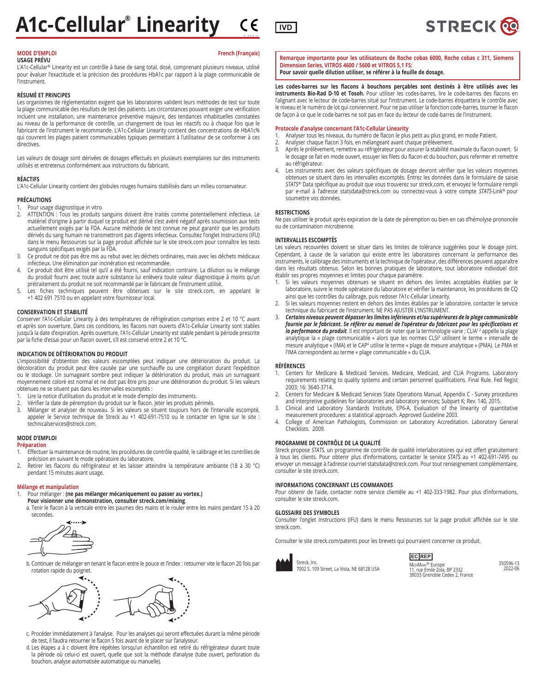

# **USAGE PRÉVU**

L'A1c-Cellular® Linearity est un contrôle à base de sang total, dosé, comprenant plusieurs niveaux, utilisé pour évaluer l'exactitude et la précision des procédures HbA1c par rapport à la plage communicable de l'instrument.

# **RÉSUMÉ ET PRINCIPES**

Les organismes de réglementation exigent que les laboratoires valident leurs méthodes de test sur toute la plage communicable des résultats de test des patients. Les circonstances pouvant exiger une vérification incluent une installation, une maintenance préventive majeure, des tendances inhabituelles constatées au niveau de la performance de contrôle, un changement de tous les réactifs ou à chaque fois que le fabricant de l'instrument le recommande. L'A1c-Cellular Linearity contient des concentrations de HbA1c% qui couvrent les plages patient communicables typiques permettant à l'utilisateur de se conformer à ces directives.

Les valeurs de dosage sont dérivées de dosages effectués en plusieurs exemplaires sur des instruments utilisés et entretenus conformément aux instructions du fabricant.

# **RÉACTIFS**

L'A1c-Cellular Linearity contient des globules rouges humains stabilisés dans un milieu conservateur.

# **PRÉCAUTIONS**

1. Pour usage diagnostique in vitro.<br>2. ATTENTION : Tous les produits s

- ATTENTION : Tous les produits sanguins doivent être traités comme potentiellement infectieux. Le matériel d'origine à partir duquel ce produit est dérivé s'est avéré négatif après soumission aux tests actuellement exigés par la FDA. Aucune méthode de test connue ne peut garantir que les produits dérivés du sang humain ne transmettront pas d'agents infectieux. Consultez l'onglet Instructions (IFU) dans le menu Ressources sur la page produit affichée sur le site streck.com pour connaître les tests sanguins spécifiques exigés par la FDA.
- 3. Ce produit ne doit pas être mis au rebut avec les déchets ordinaires, mais avec les déchets médicaux infectieux. Une élimination par incinération est recommandée.
- 4. Ce produit doit être utilisé tel qu'il a été fourni, sauf indication contraire. La dilution ou le mélange du produit fourni avec toute autre substance lui enlèvera toute valeur diagnostique à moins qu'un prétraitement du produit ne soit recommandé par le fabricant de l'instrument utilisé.
- 5. Les fiches techniques peuvent être obtenues sur le site streck.com, en appelant le +1 402 691 7510 ou en appelant votre fournisseur local.

# **CONSERVATION ET STABILITÉ**

Conserver l'A1c-Cellular Linearity à des températures de réfrigération comprises entre 2 et 10 °C avant et après son ouverture. Dans ces conditions, les flacons non ouverts d'A1c-Cellular Linearity sont stables jusqu'à la date d'expiration. Après ouverture, l'A1c-Cellular Linearity est stable pendant la période prescrite par la fiche d'essai pour un flacon ouvert, s'il est conservé entre 2 et 10 °C.

# **INDICATION DE DÉTÉRIORATION DU PRODUIT**

L'impossibilité d'obtention des valeurs escomptées peut indiquer une détérioration du produit. La décoloration du produit peut être causée par une surchauffe ou une congélation durant l'expédition ou le stockage. Un surnageant sombre peut indiquer la détérioration du produit, mais un surnageant moyennement coloré est normal et ne doit pas être pris pour une détérioration du produit. Si les valeurs obtenues ne se situent pas dans les intervalles escomptés :

- 1. Lire la notice d'utilisation du produit et le mode d'emploi des instruments.
- Vérifier la date de péremption du produit sur le flacon. Jeter les produits périmés.
- 3. Mélanger et analyser de nouveau. Si les valeurs se situent toujours hors de l'intervalle escompté, appeler le Service technique de Streck au +1 402-691-7510 ou le contacter en ligne sur le site : technicalservices@streck.com.

# **MODE D'EMPLOI Préparation**

- 1. Effectuer la maintenance de routine, les procédures de contrôle qualité, le calibrage et les contrôles de précision en suivant le mode opératoire du laboratoire.
- 2. Retirer les flacons du réfrigérateur et les laisser atteindre la température ambiante (18 à 30 °C) pendant 15 minutes avant usage.

# **Mélange et manipulation**

- 1. Pour mélanger : **(ne pas mélanger mécaniquement ou passer au vortex.)**
	- **Pour visionner une démonstration, consulter streck.com/mixing**. a. Tenir le flacon à la verticale entre les paumes des mains et le rouler entre les mains pendant 15 à 20 secondes.



b. Continuer de mélanger en tenant le flacon entre le pouce et l'index : retourner vite le flacon 20 fois par rotation rapide du poignet.



- c. Procéder immédiatement à l'analyse. Pour les analyses qui seront effectuées durant la même période de test, il faudra retourner le flacon 5 fois avant de le placer sur l'analyseur.
- d. Les étapes a à c doivent être répétées lorsqu'un échantillon est retiré du réfrigérateur durant toute la période où celui-ci est ouvert, quelle que soit la méthode d'analyse (tube ouvert, perforation du bouchon, analyse automatisée automatique ou manuelle).

**Remarque importante pour les utilisateurs de Roche cobas 6000, Roche cobas c 311, Siemens Dimension Series, VITROS 4600 / 5600 et VITROS 5,1 FS: Pour savoir quelle dilution utiliser, se référer à la feuille de dosage.**

**Les codes-barres sur les flacons à bouchons perçables sont destinés à être utilisés avec les instruments Bio-Rad D-10 et Tosoh.** Pour utiliser les codes-barres, lire le code-barres des flacons en l'alignant avec le lecteur de code-barres situé sur l'instrument. Le code-barres étiquettera le contrôle avec le niveau et le numéro de lot qui conviennent. Pour ne pas utiliser la fonction code-barres, tourner le flacon de façon à ce que le code-barres ne soit pas en face du lecteur de code-barres de l'instrument.

# **Protocole d'analyse concernant l'A1c-Cellular Linearity**

- 1. Analyser tous les niveaux, du numéro de flacon le plus petit au plus grand, en mode Patient.<br>2. Analyser chaque flacon 3 fois, en mélangeant avant chaque prélèvement.
- Analyser chaque flacon 3 fois, en mélangeant avant chaque prélèvement.
- 3. Après le prélèvement, remettre au réfrigérateur pour assurer la stabilité maximale du flacon ouvert. Si le dosage se fait en mode ouvert, essuyer les filets du flacon et du bouchon, puis refermer et remettre au réfrigérateur.
- Les instruments avec des valeurs spécifiques de dosage devront vérifier que les valeurs moyennes obtenues se situent dans les intervalles escomptés. Entrez les données dans le formulaire de saisie *STATS*® Data spécifique au produit que vous trouverez sur streck.com, et envoyez le formulaire rempli par e-mail à l'adresse statsdata@streck.com ou connectez-vous à votre compte *STATS*-Link® pour soumettre vos données.

# **RESTRICTIONS**

Ne pas utiliser le produit après expiration de la date de péremption ou bien en cas d'hémolyse prononcée ou de contamination microbienne.

# **INTERVALLES ESCOMPTÉS**

Les valeurs recouvrées doivent se situer dans les limites de tolérance suggérées pour le dosage joint. Cependant, à cause de la variation qui existe entre les laboratoires concernant la performance des instruments, le calibrage des instruments et la technique de l'opérateur, des différences peuvent apparaître dans les résultats obtenus. Selon les bonnes pratiques de laboratoire, tout laboratoire individuel doit établir ses propres moyennes et limites pour chaque paramètre.

- 1. Si les valeurs moyennes obtenues se situent en dehors des limites acceptables établies par le laboratoire, suivre le mode opératoire du laboratoire et vérifier la maintenance, les procédures de CQ ainsi que les contrôles du calibrage, puis redoser l'A1c-Cellular Linearity.
- 2. Si les valeurs moyennes restent en dehors des limites établies par le laboratoire, contacter le service technique du fabricant de l'instrument. NE PAS AJUSTER L'INSTRUMENT.
- 3. *Certains niveaux peuvent dépasser les limites inférieures et/ou supérieures de la plage communicable fournie par le fabricant. Se référer au manuel de l'opérateur du fabricant pour les spécifications et*  la performance du produit. Il est important de noter que la terminologie varie ; CLIA<sup>12</sup> appelle la plage analytique la « plage communicable » alors que les normes CLSI<sup>3</sup> utilisent le terme « intervalle de mesure analytique » (IMA) et le CAP4 utilise le terme « plage de mesure analytique » (PMA). Le PMA et l'IMA correspondent au terme « plage communicable » du CLIA.

# **RÉFÉRENCES**

- 1. Centers for Medicare & Medicaid Services. Medicare, Medicaid, and CLIA Programs. Laboratory requirements relating to quality systems and certain personnel qualifications. Final Rule. Fed Regist 2003; 16: 3640-3714.
- 2. Centers for Medicare & Medicaid Services State Operations Manual, Appendix C Survey procedures and interpretive guidelines for laboratories and laboratory services; Subpart K; Rev. 140, 2015.
- 3. Clinical and Laboratory Standards Institute, EP6-A, Evaluation of the linearity of quantitative measurement procedures: a statistical approach. Approved Guideline 2003.
- 4. College of American Pathologists, Commission on Laboratory Accreditation. Laboratory General Checklists. 2009.

# **PROGRAMME DE CONTRÔLE DE LA QUALITÉ**

Streck propose *STATS*, un programme de contrôle de qualité interlaboratoires qui est offert gratuitement à tous les clients. Pour obtenir plus d'informations, contacter le service *STATS* au +1 402-691-7495 ou envoyer un message à l'adresse courriel statsdata@streck.com. Pour tout renseignement complémentaire, consulter le site streck.com.

# **INFORMATIONS CONCERNANT LES COMMANDES**

Pour obtenir de l'aide, contacter notre service clientèle au +1 402-333-1982. Pour plus d'informations, consulter le site streck.com.

# **GLOSSAIRE DES SYMBOLES**

Consulter l'onglet Instructions (IFU) dans le menu Ressources sur la page produit affichée sur le site streck.com.

Consulter le site streck.com/patents pour les brevets qui pourraient concerner ce produit.



Streck, Inc. 7002 S. 109 Street, La Vista, NE 68128 USA MEDIMARK<sup>®</sup> Europe<br>11, rue Emile Zola, BP 2332 38033 Grenoble Cedex 2, France **EC REP**



**STRECK®**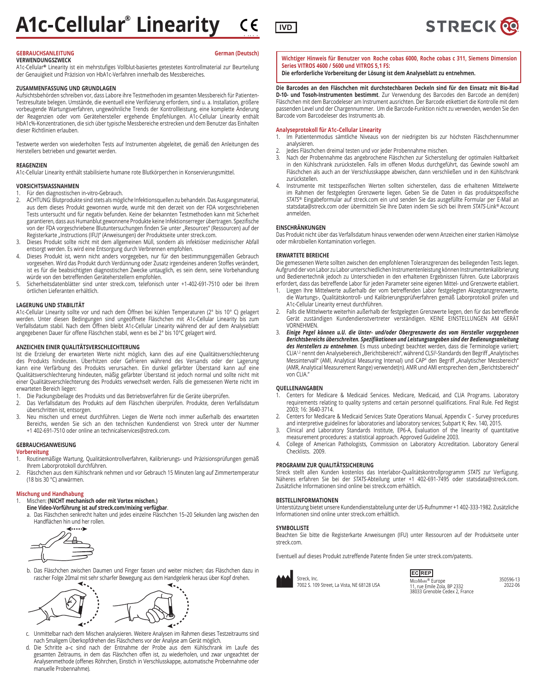

# **VERWENDUNGSZWECK**

A1c-Cellular**®** Linearity ist ein mehrstufiges Vollblut-basiertes getestetes Kontrollmaterial zur Beurteilung der Genauigkeit und Präzision von HbA1c-Verfahren innerhalb des Messbereiches.

# **ZUSAMMENFASSUNG UND GRUNDLAGEN**

Aufsichtsbehörden schreiben vor, dass Labore ihre Testmethoden im gesamten Messbereich für Patienten-Testresultate belegen. Umstände, die eventuell eine Verifizierung erfordern, sind u. a. Installation, größere vorbeugende Wartungsverfahren, ungewöhnliche Trends der Kontrollleistung, eine komplette Änderung der Reagenzien oder vom Gerätehersteller ergehende Empfehlungen. A1c-Cellular Linearity enthält HbA1c%-Konzentrationen, die sich über typische Messbereiche erstrecken und dem Benutzer das Einhalten dieser Richtlinien erlauben.

Testwerte werden von wiederholten Tests auf Instrumenten abgeleitet, die gemäß den Anleitungen des Herstellers betrieben und gewartet werden.

# **REAGENZIEN**

A1c-Cellular Linearity enthält stabilisierte humane rote Blutkörperchen in Konservierungsmittel.

# **VORSICHTSMASSNAHMEN**

Für den diagnostischen in-vitro-Gebrauch.

- 2. ACHTUNG: Blutprodukte sind stets als mögliche Infektionsquellen zu behandeln. Das Ausgangsmaterial, aus dem dieses Produkt gewonnen wurde, wurde mit den derzeit von der FDA vorgeschriebenen Tests untersucht und für negativ befunden. Keine der bekannten Testmethoden kann mit Sicherheit garantieren, dass aus Humanblut gewonnene Produkte keine Infektionserreger übertragen. Spezifische von der FDA vorgeschriebene Blutuntersuchungen finden Sie unter "Resources" (Ressourcen) auf der Registerkarte "Instructions (IFU)" (Anweisungen) der Produktseite unter streck.com.
- 3. Dieses Produkt sollte nicht mit dem allgemeinen Müll, sondern als infektiöser medizinischer Abfall entsorgt werden. Es wird eine Entsorgung durch Verbrennen empfohlen.
- 4. Dieses Produkt ist, wenn nicht anders vorgegeben, nur für den bestimmungsgemäßen Gebrauch vorgesehen. Wird das Produkt durch Verdünnung oder Zusatz irgendeines anderen Stoffes verändert, ist es für die beabsichtigten diagnostischen Zwecke untauglich, es sein denn, seine Vorbehandlung würde von den betreffenden Geräteherstellern empfohlen.
- 5. Sicherheitsdatenblätter sind unter streck.com, telefonisch unter +1-402-691-7510 oder bei Ihrem örtlichen Lieferanten erhältlich.

# **LAGERUNG UND STABILITÄT**

A1c-Cellular Linearity sollte vor und nach dem Öffnen bei kühlen Temperaturen (2° bis 10° C) gelagert werden. Unter diesen Bedingungen sind ungeöffnete Fläschchen mit A1c-Cellular Linearity bis zum Verfallsdatum stabil. Nach dem Öffnen bleibt A1c-Cellular Linearity während der auf dem Analyseblatt angegebenen Dauer für offene Fläschchen stabil, wenn es bei 2° bis 10°C gelagert wird.

# **ANZEICHEN EINER QUALITÄTSVERSCHLECHTERUNG**

Ist die Erzielung der erwarteten Werte nicht möglich, kann dies auf eine Qualitätsverschlechterung des Produkts hindeuten. Überhitzen oder Gefrieren während des Versands oder der Lagerung kann eine Verfärbung des Produkts verursachen. Ein dunkel gefärbter Überstand kann auf eine Qualitätsverschlechterung hindeuten, mäßig gefärbter Überstand ist jedoch normal und sollte nicht mit einer Qualitätsverschlechterung des Produkts verwechselt werden. Falls die gemessenen Werte nicht im erwarteten Bereich liegen:

- 1. Die Packungsbeilage des Produkts und das Betriebsverfahren für die Geräte überprüfen.
- 2. Das Verfallsdatum des Produkts auf dem Fläschchen überprüfen. Produkte, deren Verfallsdatum überschritten ist, entsorgen.
- 3. Neu mischen und erneut durchführen. Liegen die Werte noch immer außerhalb des erwarteten Bereichs, wenden Sie sich an den technischen Kundendienst von Streck unter der Nummer +1 402-691-7510 oder online an technicalservices@streck.com.

# **GEBRAUCHSANWEISUNG**

# **Vorbereitung**

- 1. Routinemäßige Wartung, Qualitätskontrollverfahren, Kalibrierungs- und Präzisionsprüfungen gemäß Ihrem Laborprotokoll durchführen.
- 2. Fläschchen aus dem Kühlschrank nehmen und vor Gebrauch 15 Minuten lang auf Zimmertemperatur (18 bis 30 °C) anwärmen.

# **Mischung und Handhabung**

## 1. Mischen: **(NICHT mechanisch oder mit Vortex mischen.) Eine Video-Vorführung ist auf streck.com/mixing verfügbar**.

a. Das Fläschchen senkrecht halten und jedes einzelne Fläschchen 15–20 Sekunden lang zwischen den Handflächen hin und her rollen.



b. Das Fläschchen zwischen Daumen und Finger fassen und weiter mischen; das Fläschchen dazu in rascher Folge 20mal mit sehr scharfer Bewegung aus dem Handgelenk heraus über Kopf drehen.



- c. Unmittelbar nach dem Mischen analysieren. Weitere Analysen im Rahmen dieses Testzeitraums sind nach 5maligem Überkopfdrehen des Fläschchens vor der Analyse am Gerät möglich.
- d. Die Schritte a–c sind nach der Entnahme der Probe aus dem Kühlschrank im Laufe des gesamten Zeitraums, in dem das Fläschchen offen ist, zu wiederholen, und zwar ungeachtet der Analysenmethode (offenes Röhrchen, Einstich in Verschlusskappe, automatische Probennahme oder manuelle Probennahme).

**Wichtiger Hinweis für Benutzer von Roche cobas 6000, Roche cobas c 311, Siemens Dimension Series VITROS 4600 / 5600 und VITROS 5,1 FS:**

**Die erforderliche Vorbereitung der Lösung ist dem Analyseblatt zu entnehmen.**

**Die Barcodes an den Fläschchen mit durchstechbaren Deckeln sind für den Einsatz mit Bio-Rad D-10- und Tosoh-Instrumenten bestimmt**. Zur Verwendung des Barcodes den Barcode an dem(den) Fläschchen mit dem Barcodeleser am Instrument ausrichten. Der Barcode etikettiert die Kontrolle mit dem passenden Level und der Chargennummer. Um die Barcode-Funktion nicht zu verwenden, wenden Sie den Barcode vom Barcodeleser des Instruments ab.

# **Analyseprotokoll für A1c–Cellular Linearity**

- 1. Im Patientenmodus sämtliche Niveaus von der niedrigsten bis zur höchsten Fläschchennummer analysieren.
- 2. Jedes Fläschchen dreimal testen und vor jeder Probennahme mischen.
- 3. Nach der Probennahme das angebrochene Fläschchen zur Sicherstellung der optimalen Haltbarkeit in den Kühlschrank zurückstellen. Falls im offenen Modus durchgeführt, das Gewinde sowohl am Fläschchen als auch an der Verschlusskappe abwischen, dann verschließen und in den Kühlschrank zurückstellen.
- 4. Instrumente mit testspezifischen Werten sollten sicherstellen, dass die erhaltenen Mittelwerte im Rahmen der festgelegten Grenzwerte liegen. Geben Sie die Daten in das produktspezifische *STATS*® Eingabeformular auf streck.com ein und senden Sie das ausgefüllte Formular per E-Mail an statsdata@streck.com oder übermitteln Sie Ihre Daten indem Sie sich bei Ihrem *STATS*-Link® Account anmelden.

# **EINSCHRÄNKUNGEN**

Das Produkt nicht über das Verfallsdatum hinaus verwenden oder wenn Anzeichen einer starken Hämolyse oder mikrobiellen Kontamination vorliegen.

# **ERWARTETE BEREICHE**

Die gemessenen Werte sollten zwischen den empfohlenen Toleranzgrenzen des beiliegenden Tests liegen. Aufgrund der von Labor zu Labor unterschiedlichen Instrumentenleistung können Instrumentenkalibrierung und Bedienertechnik jedoch zu Unterschieden in den erhaltenen Ergebnissen führen. Gute Laborpraxis erfordert, dass das betreffende Labor für jeden Parameter seine eigenen Mittel- und Grenzwerte etabliert.

- 1. Liegen Ihre Mittelwerte außerhalb der vom betreffenden Labor festgelegten Akzeptanzgrenzwerte, die Wartungs-, Qualitätskontroll- und Kalibrierungsprüfverfahren gemäß Laborprotokoll prüfen und A1c-Cellular Linearity erneut durchführen.
- 2. Falls die Mittelwerte weiterhin außerhalb der festgelegten Grenzwerte liegen, den für das betreffende Gerät zuständigen Kundendienstvertreter verständigen. KEINE EINSTELLUNGEN AM GERÄT VORNEHMEN.
- 3. *Einige Pegel können u.U. die Unter- und/oder Obergrenzwerte des vom Hersteller vorgegebenen Berichtsbereichs überschreiten. Spezifikationen und Leistungsangaben sind der Bedienungsanleitung des Herstellers zu entnehmen*. Es muss unbedingt beachtet werden, dass die Terminologie variiert; CLIA1,2 nennt den Analysebereich "Berichtsbereich", während CLSI3-Standards den Begriff "Analytisches Messintervall" (AMI, Analytical Measuring Interval) und CAP<sup>4</sup> den Begriff "Analytischer Messbereich" (AMR, Analytical Measurement Range) verwendet(n). AMR und AMI entsprechen dem "Berichtsbereich" von CLIA."

# **QUELLENANGABEN**

- Centers for Medicare & Medicaid Services. Medicare, Medicaid, and CLIA Programs. Laboratory requirements relating to quality systems and certain personnel qualifications. Final Rule. Fed Regist 2003; 16: 3640-3714.
- 2. Centers for Medicare & Medicaid Services State Operations Manual, Appendix C Survey procedures and interpretive guidelines for laboratories and laboratory services; Subpart K; Rev. 140, 2015.
- 3. Clinical and Laboratory Standards Institute, EP6-A, Evaluation of the linearity of quantitative measurement procedures: a statistical approach. Approved Guideline 2003.
- 4. College of American Pathologists, Commission on Laboratory Accreditation. Laboratory General Checklists. 2009.

# **PROGRAMM ZUR QUALITÄTSSICHERUNG**

Streck stellt allen Kunden kostenlos das Interlabor-Qualitätskontrollprogramm *STATS* zur Verfügung. Näheres erfahren Sie bei der *STATS*-Abteilung unter +1 402-691-7495 oder statsdata@streck.com. Zusätzliche Informationen sind online bei streck.com erhältlich.

# **BESTELLINFORMATIONEN**

Streck, Inc.

Unterstützung bietet unsere Kundendienstabteilung unter der US-Rufnummer +1 402-333-1982. Zusätzliche Informationen sind online unter streck.com erhältlich.

# **SYMBOLLISTE**

Beachten Sie bitte die Registerkarte Anweisungen (IFU) unter Ressourcen auf der Produktseite unter streck.com.

Eventuell auf dieses Produkt zutreffende Patente finden Sie unter streck.com/patents.



7002 S. 109 Street, La Vista, NE 68128 USA

MEDIMARK<sup>®</sup> Europe<br>11, rue Emile Zola, BP 2332 38033 Grenoble Cedex 2, France **EC REP**





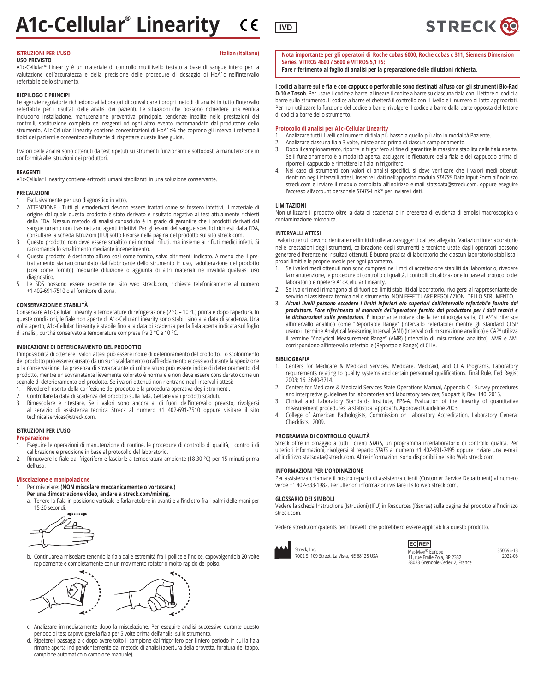# **ISTRUZIONI PER L'USO ISTRUZIONI PER L'USO**

# **USO PREVISTO**

A1c-Cellular**®** Linearity è un materiale di controllo multilivello testato a base di sangue intero per la valutazione dell'accuratezza e della precisione delle procedure di dosaggio di HbA1c nell'intervallo refertabile dello strumento.

# **RIEPILOGO E PRINCIPI**

Le agenzie regolatorie richiedono ai laboratori di convalidare i propri metodi di analisi in tutto l'intervallo refertabile per i risultati delle analisi dei pazienti. Le situazioni che possono richiedere una verifica includono installazione, manutenzione preventiva principale, tendenze insolite nelle prestazioni dei controlli, sostituzione completa dei reagenti od ogni altro evento raccomandato dal produttore dello strumento. A1c-Cellular Linearity contiene concentrazioni di HbA1c% che coprono gli intervalli refertabili tipici dei pazienti e consentono all'utente di rispettare queste linee guida.

I valori delle analisi sono ottenuti da test ripetuti su strumenti funzionanti e sottoposti a manutenzione in conformità alle istruzioni dei produttori.

# **REAGENTI**

A1c-Cellular Linearity contiene eritrociti umani stabilizzati in una soluzione conservante.

# **PRECAUZIONI**

- Esclusivamente per uso diagnostico in vitro.
- 2. ATTENZIONE Tutti gli emoderivati devono essere trattati come se fossero infettivi. Il materiale di origine dal quale questo prodotto è stato derivato è risultato negativo ai test attualmente richiesti dalla FDA. Nessun metodo di analisi conosciuto è in grado di garantire che i prodotti derivati dal sangue umano non trasmettano agenti infettivi. Per gli esami del sangue specifici richiesti dalla FDA, consultare la scheda Istruzioni (IFU) sotto Risorse nella pagina del prodotto sul sito streck.com.
- 3. Questo prodotto non deve essere smaltito nei normali rifiuti, ma insieme ai rifiuti medici infetti. Si raccomanda lo smaltimento mediante incenerimento.
- Questo prodotto è destinato all'uso così come fornito, salvo altrimenti indicato. A meno che il pretrattamento sia raccomandato dal fabbricante dello strumento in uso, l'adulterazione del prodotto (così come fornito) mediante diluizione o aggiunta di altri materiali ne invalida qualsiasi uso diagnostico.
- 5. Le SDS possono essere reperite nel sito web streck.com, richieste telefonicamente al numero +1 402-691-7510 o al fornitore di zona.

# **CONSERVAZIONE E STABILITÀ**

Conservare A1c-Cellular Linearity a temperature di refrigerazione (2 °C – 10 °C) prima e dopo l'apertura. In queste condizioni, le fiale non aperte di A1c-Cellular Linearity sono stabili sino alla data di scadenza. Una volta aperto, A1c-Cellular Linearity è stabile fino alla data di scadenza per la fiala aperta indicata sul foglio di analisi, purché conservato a temperature comprese fra 2 °C e 10 °C.

# **INDICAZIONE DI DETERIORAMENTO DEL PRODOTTO**

L'impossibilità di ottenere i valori attesi può essere indice di deterioramento del prodotto. Lo scolorimento del prodotto può essere causato da un surriscaldamento o raffreddamento eccessivo durante la spedizione o la conservazione. La presenza di sovranatante di colore scuro può essere indice di deterioramento del prodotto, mentre un sovranatante lievemente colorato è normale e non deve essere considerato come un segnale di deterioramento del prodotto. Se i valori ottenuti non rientrano negli intervalli attesi:

- 1. Rivedere l'inserto della confezione del prodotto e la procedura operativa degli strumenti.
- 
- 2. Controllare la data di scadenza del prodotto sulla fiala. Gettare via i prodotti scaduti. Rimescolare e ritestare. Se i valori sono ancora al di fuori dell'intervallo previsto, rivolgersi al servizio di assistenza tecnica Streck al numero +1 402-691-7510 oppure visitare il sito technicalservices@streck.com.

# **ISTRUZIONI PER L'USO**

**Preparazione**

- 1. Eseguire le operazioni di manutenzione di routine, le procedure di controllo di qualità, i controlli di calibrazione e precisione in base al protocollo del laboratorio.
- 2. Rimuovere le fiale dal frigorifero e lasciarle a temperatura ambiente (18-30 °C) per 15 minuti prima dell'uso.

# **Miscelazione e manipolazione**

# 1. Per miscelare: **(NON miscelare meccanicamente o vortexare.)**

 **Per una dimostrazione video, andare a streck.com/mixing.** a. Tenere la fiala in posizione verticale e farla rotolare in avanti e all'indietro fra i palmi delle mani per 15-20 secondi.



b. Continuare a miscelare tenendo la fiala dalle estremità fra il pollice e l'indice, capovolgendola 20 volte rapidamente e completamente con un movimento rotatorio molto rapido del polso.



- c. Analizzare immediatamente dopo la miscelazione. Per eseguire analisi successive durante questo periodo di test capovolgere la fiala per 5 volte prima dell'analisi sullo strumento.
- d. Ripetere i passaggi a-c dopo avere tolto il campione dal frigorifero per l'intero periodo in cui la fiala rimane aperta indipendentemente dal metodo di analisi (apertura della provetta, foratura del tappo, campione automatico o campione manuale).



**Nota importante per gli operatori di Roche cobas 6000, Roche cobas c 311, Siemens Dimension Series, VITROS 4600 / 5600 e VITROS 5,1 FS: Fare riferimento al foglio di analisi per la preparazione delle diluizioni richiesta.**

**I codici a barre sulle fiale con cappuccio perforabile sono destinati all'uso con gli strumenti Bio-Rad D-10 e Tosoh**. Per usare il codice a barre, allineare il codice a barre su ciascuna fiala con il lettore di codici a barre sullo strumento. Il codice a barre etichetterà il controllo con il livello e il numero di lotto appropriati. Per non utilizzare la funzione del codice a barre, rivolgere il codice a barre dalla parte opposta del lettore di codici a barre dello strumento.

# **Protocollo di analisi per A1c–Cellular Linearity**

- 1. Analizzare tutti i livelli dal numero di fiala più basso a quello più alto in modalità Paziente.
- Analizzare ciascuna fiala 3 volte, miscelando prima di ciascun campionamento.
- 3. Dopo il campionamento, riporre in frigorifero al fine di garantire la massima stabilità della fiala aperta. Se il funzionamento è a modalità aperta, asciugare le filettature della fiala e del cappuccio prima di riporre il cappuccio e rimettere la fiala in frigorifero.
- 4. Nel caso di strumenti con valori di analisi specifici, si deve verificare che i valori medi ottenuti rientrino negli intervalli attesi. Inserire i dati nell'apposito modulo *STATS*® Data Input Form all'indirizzo streck.com e inviare il modulo compilato all'indirizzo e-mail statsdata@streck.com, oppure eseguire l'accesso all'account personale *STATS*-Link® per inviare i dati.

# **LIMITAZIONI**

Non utilizzare il prodotto oltre la data di scadenza o in presenza di evidenza di emolisi macroscopica o contaminazione microbica.

# **INTERVALLI ATTESI**

I valori ottenuti devono rientrare nei limiti di tolleranza suggeriti dal test allegato. Variazioni interlaboratorio nelle prestazioni degli strumenti, calibrazione degli strumenti e tecniche usate dagli operatori possono generare differenze nei risultati ottenuti. È buona pratica di laboratorio che ciascun laboratorio stabilisca i propri limiti e le proprie medie per ogni parametro.

- 1. Se i valori medi ottenuti non sono compresi nei limiti di accettazione stabiliti dal laboratorio, rivedere la manutenzione, le procedure di controllo di qualità, i controlli di calibrazione in base al protocollo del laboratorio e ripetere A1c-Cellular Linearity.
- 2. Se i valori medi rimangono al di fuori dei limiti stabiliti dal laboratorio, rivolgersi al rappresentante del servizio di assistenza tecnica dello strumento. NON EFFETTUARE REGOLAZIONI DELLO STRUMENTO.
- 3. *Alcuni livelli possono eccedere i limiti inferiori e/o superiori dell'intervallo refertabile fornito dal produttore. Fare riferimento al manuale dell'operatore fornito dal produttore per i dati tecnici e*  le dichiarazioni sulle prestazioni. È importante notare che la terminologia varia; CLIA<sup>1,2</sup> si riferisce all'intervallo analitico come "Reportable Range" (Intervallo refertabile) mentre gli standard CLSI<sup>3</sup> usano il termine Analytical Measuring Interval (AMI) (Intervallo di misurazione analitico) e CAP4 utilizza il termine "Analytical Measurement Range" (AMR) (Intervallo di misurazione analitico). AMR e AMI corrispondono all'intervallo refertabile (Reportable Range) di CLIA.

# **BIBLIOGRAFIA**

- Centers for Medicare & Medicaid Services. Medicare, Medicaid, and CLIA Programs. Laboratory requirements relating to quality systems and certain personnel qualifications. Final Rule. Fed Regist 2003; 16: 3640-3714.
- 2. Centers for Medicare & Medicaid Services State Operations Manual, Appendix C Survey procedures and interpretive guidelines for laboratories and laboratory services; Subpart K; Rev. 140, 2015.
- 3. Clinical and Laboratory Standards Institute, EP6-A, Evaluation of the linearity of quantitative measurement procedures: a statistical approach. Approved Guideline 2003.
- 4. College of American Pathologists, Commission on Laboratory Accreditation. Laboratory General Checklists. 2009.

# **PROGRAMMA DI CONTROLLO QUALITÀ**

Streck offre in omaggio a tutti i clienti *STATS*, un programma interlaboratorio di controllo qualità. Per ulteriori informazioni, rivolgersi al reparto *STATS* al numero +1 402-691-7495 oppure inviare una e-mail all'indirizzo statsdata@streck.com. Altre informazioni sono disponibili nel sito Web streck.com.

# **INFORMAZIONI PER L'ORDINAZIONE**

Per assistenza chiamare il nostro reparto di assistenza clienti (Customer Service Department) al numero verde +1 402-333-1982. Per ulteriori informazioni visitare il sito web streck.com.

# **GLOSSARIO DEI SIMBOLI**

Vedere la scheda Instructions (Istruzioni) (IFU) in Resources (Risorse) sulla pagina del prodotto all'indirizzo streck.com

Vedere streck.com/patents per i brevetti che potrebbero essere applicabili a questo prodotto.



Streck, Inc. 7002 S. 109 Street, La Vista, NE 68128 USA MEDIMARK<sup>®</sup> Europe<br>11, rue Emile Zola, BP 2332 38033 Grenoble Cedex 2, France **EC REP**

350596-13 2022-06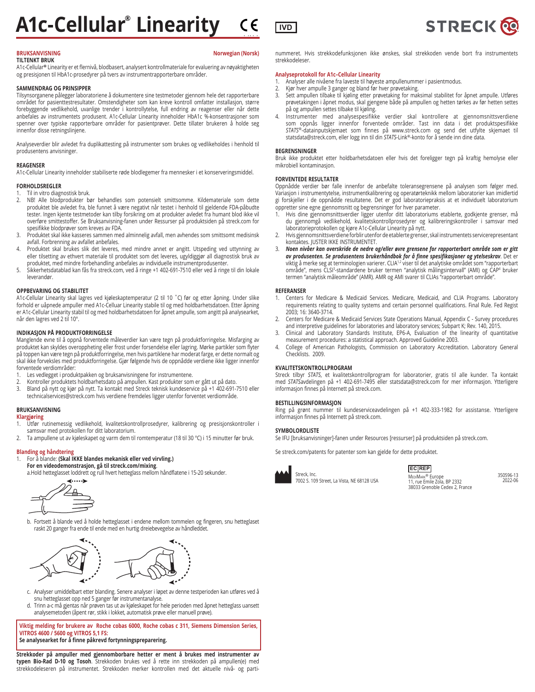# 2797 **A1c-Cellular® Linearity**  $\epsilon \in \overline{\mathbb{R}^n}$

# **BRUKSANVISNING Norwegian (Norsk)**

# **TILTENKT BRUK**

A1c-Cellular**®** Linearity er et flernivå, blodbasert, analysert kontrollmateriale for evaluering av nøyaktigheten og presisjonen til HbA1c-prosedyrer på tvers av instrumentrapporterbare områder.

# **SAMMENDRAG OG PRINSIPPER**

Tilsynsorganene pålegger laboratoriene å dokumentere sine testmetoder gjennom hele det rapporterbare området for pasienttestresultater. Omstendigheter som kan kreve kontroll omfatter installasjon, større forebyggende vedlikehold, uvanlige trender i kontrollytelse, full endring av reagenser eller når dette anbefales av instrumentets produsent. A1c-Cellular Linearity inneholder HbA1c %-konsentrasjoner som spenner over typiske rapporterbare områder for pasientprøver. Dette tillater brukeren å holde seg innenfor disse retningslinjene.

Analyseverdier blir avledet fra duplikattesting på instrumenter som brukes og vedlikeholdes i henhold til produsentens anvisninger.

# **REAGENSER**

A1c-Cellular Linearity inneholder stabiliserte røde blodlegemer fra mennesker i et konserveringsmiddel.

# **FORHOLDSREGLER**

Til in vitro diagnostisk bruk.

- 2. NB! Alle blodprodukter bør behandles som potensielt smittsomme. Kildemateriale som dette produktet ble avledet fra, ble funnet å være negativt når testet i henhold til gjeldende FDA-påbudte tester. Ingen kjente testmetoder kan tilby forsikring om at produkter avledet fra humant blod ikke vil overføre smittestoffer. Se Bruksanvisning-fanen under Ressurser på produktsiden på streck.com for spesifikke blodprøver som kreves av FDA.
- 3. Produktet skal ikke kasseres sammen med alminnelig avfall, men avhendes som smittsomt medisinsk avfall. Forbrenning av avfallet anbefales.
- 4. Produktet skal brukes slik det leveres, med mindre annet er angitt. Utspeding ved uttynning av eller tilsetting av ethvert materiale til produktet som det leveres, ugyldiggjør all diagnostisk bruk av produktet, med mindre forbehandling anbefales av individuelle instrumentprodusenter.
- 5. Sikkerhetsdatablad kan fås fra streck.com, ved å ringe +1 402-691-7510 eller ved å ringe til din lokale leverandør.

# **OPPBEVARING OG STABILITET**

A1c-Cellular Linearity skal lagres ved kjøleskaptemperatur (2 til 10 ˚C) før og etter åpning. Under slike forhold er uåpnede ampuller med A1c-Celluar Linearity stabile til og med holdbarhetsdatoen. Etter åpning er A1c-Cellular Linearity stabil til og med holdbarhetsdatoen for åpnet ampulle, som angitt på analysearket, når den lagres ved 2 til 10°.

# **INDIKASJON PÅ PRODUKTFORRINGELSE**

Manglende evne til å oppnå forventede måleverdier kan være tegn på produktforringelse. Misfarging av produktet kan skyldes overoppheting eller frost under forsendelse eller lagring. Mørke partikler som flyter på toppen kan være tegn på produktforringelse, men hvis partiklene har moderat farge, er dette normalt og skal ikke forveksles med produktforringelse. Gjør følgende hvis de oppnådde verdiene ikke ligger innenfor forventede verdiområder:

- 1. Les vedlegget i produktpakken og bruksanvisningene for instrumentene.
- 2. Kontroller produktets holdbarhetsdato på ampullen. Kast produkter som er gått ut på dato. 3. Bland på nytt og kjør på nytt. Ta kontakt med Streck teknisk kundeservice på +1 402-691-7510 eller technicalservices@streck.com hvis verdiene fremdeles ligger utenfor forventet verdiområde.

# **BRUKSANVISNING**

# **Klargjøring**

- 1. Utfør rutinemessig vedlikehold, kvalitetskontrollprosedyrer, kalibrering og presisjonskontroller i samsvar med protokollen for ditt laboratorium.
- 2. Ta ampullene ut av kjøleskapet og varm dem til romtemperatur (18 til 30 °C) i 15 minutter før bruk.

# **Blanding og håndtering**

# 1. For å blande: **(Skal IKKE blandes mekanisk eller ved virvling.)**

# **For en videodemonstrasjon, gå til streck.com/mixing**.

a.Hold hetteglasset loddrett og rull hvert hetteglass mellom håndflatene i 15-20 sekunder.



b. Fortsett å blande ved å holde hetteglasset i endene mellom tommelen og fingeren, snu hetteglaset raskt 20 ganger fra ende til ende med en hurtig dreiebevegelse av håndleddet.



- c. Analyser umiddelbart etter blanding. Senere analyser i løpet av denne testperioden kan utføres ved å snu hetteglasset opp ned 5 ganger før instrumentanalyse.
- d. Trinn a-c må gjentas når prøven tas ut av kjøleskapet for hele perioden med åpnet hetteglass uansett analysemetoden (åpent rør, stikk i lokket, automatisk prøve eller manuell prøve).

**Viktig melding for brukere av Roche cobas 6000, Roche cobas c 311, Siemens Dimension Series, VITROS 4600 / 5600 og VITROS 5,1 FS: Se analysearket for å finne påkrevd fortynningspreparering.**

**Strekkoder på ampuller med gjennomborbare hetter er ment å brukes med instrumenter av typen Bio-Rad D-10 og Tosoh**. Strekkoden brukes ved å rette inn strekkoden på ampullen(e) med strekkodeleseren på instrumentet. Strekkoden merker kontrollen med det aktuelle nivå- og partinummeret. Hvis strekkodefunksjonen ikke ønskes, skal strekkoden vende bort fra instrumentets strekkodeleser.

# **Analyseprotokoll for A1c–Cellular Linearity**

- 1. Ånalyser alle nivåene fra laveste til høyeste ampullenummer i pasientmodus.<br>2. Kjør hver ampulle 3 ganger og bland før hver prøvetaking.
- 2. Kjør hver ampulle 3 ganger og bland før hver prøvetaking.<br>3. Sett ampullen tilbake til kjøling etter prøvetaking for mal
- 3. Sett ampullen tilbake til kjøling etter prøvetaking for maksimal stabilitet for åpnet ampulle. Utføres prøvetakingen i åpnet modus, skal gjengene både på ampullen og hetten tørkes av før hetten settes på og ampullen settes tilbake til kjøling.
- 4. Instrumenter med analysespesifikke verdier skal kontrollere at gjennomsnittsverdiene som oppnås ligger innenfor forventede områder. Tast inn data i det produktspesifikke *STATS*®-datainputskjemaet som finnes på www.streck.com og send det utfylte skjemaet til statsdata@streck.com, eller logg inn til din *STATS*-Link®-konto for å sende inn dine data.

# **BEGRENSNINGER**

Bruk ikke produktet etter holdbarhetsdatoen eller hvis det foreligger tegn på kraftig hemolyse eller mikrobiell kontaminasjon.

# **FORVENTEDE RESULTATER**

Oppnådde verdier bør falle innenfor de anbefalte toleransegrensene på analysen som følger med. Variasjon i instrumentytelse, instrumentkalibrering og operatørteknikk mellom laboratorier kan imidlertid gi forskjeller i de oppnådde resultatene. Det er god laboratoriepraksis at et individuelt laboratorium oppretter sine egne gjennomsnitt og begrensninger for hver parameter.

- 1. Hvis dine gjennomsnittsverdier ligger utenfor ditt laboratoriums etablerte, godkjente grenser, må du gjennomgå vedlikehold, kvalitetskontrollprosedyrer og kalibreringskontroller i samsvar med laboratorieprotokollen og kjøre A1c-Cellular Linearity på nytt.
- 2. Hvis gjennomsnittsverdiene forblir utenfor de etablerte grenser, skal instrumentets servicerepresentant kontaktes. JUSTER IKKE INSTRUMENTET.
- 3. *Noen nivåer kan overskride de nedre og/eller øvre grensene for rapporterbart område som er gitt av produsenten. Se produsentens brukerhåndbok for å finne spesifikasjoner og ytelseskrav*. Det er viktig å merke seg at terminologien varierer. CLIA<sup>1,2</sup> viser til det analytiske området som "rapporterbart område", mens CLSI3-standardene bruker termen "analytisk målingsintervall" (AMI) og CAP4 bruker termen "analytisk måleområde" (AMR). AMR og AMI svarer til CLIAs "rapporterbart område".

# **REFERANSER**

- 1. Centers for Medicare & Medicaid Services. Medicare, Medicaid, and CLIA Programs. Laboratory requirements relating to quality systems and certain personnel qualifications. Final Rule. Fed Regist 2003; 16: 3640-3714.
- 2. Centers for Medicare & Medicaid Services State Operations Manual, Appendix C Survey procedures and interpretive guidelines for laboratories and laboratory services; Subpart K; Rev. 140, 2015.
- 3. Clinical and Laboratory Standards Institute, EP6-A, Evaluation of the linearity of quantitative measurement procedures: a statistical approach. Approved Guideline 2003.
- 4. College of American Pathologists, Commission on Laboratory Accreditation. Laboratory General Checklists. 2009.

# **KVALITETSKONTROLLPROGRAM**

Streck tilbyr *STATS*, et kvalitetskontrollprogram for laboratorier, gratis til alle kunder. Ta kontakt med *STATS*avdelingen på +1 402-691-7495 eller statsdata@streck.com for mer informasjon. Ytterligere informasjon finnes på Internett på streck.com.

# **BESTILLINGSINFORMASJON**

Ring på grønt nummer til kundeserviceavdelingen på +1 402-333-1982 for assistanse. Ytterligere informasjon finnes på Internett på streck.com.

# **SYMBOLORDLISTE**

Se IFU [bruksanvisninger]-fanen under Resources [ressurser] på produktsiden på streck.com.

Se streck.com/patents for patenter som kan gjelde for dette produktet.



Streck, Inc. 7002 S. 109 Street, La Vista, NE 68128 USA

11, rue Emile Zola, BP 2332 38033 Grenoble Cedex 2, France **EC REP**

350596-13 2022-06

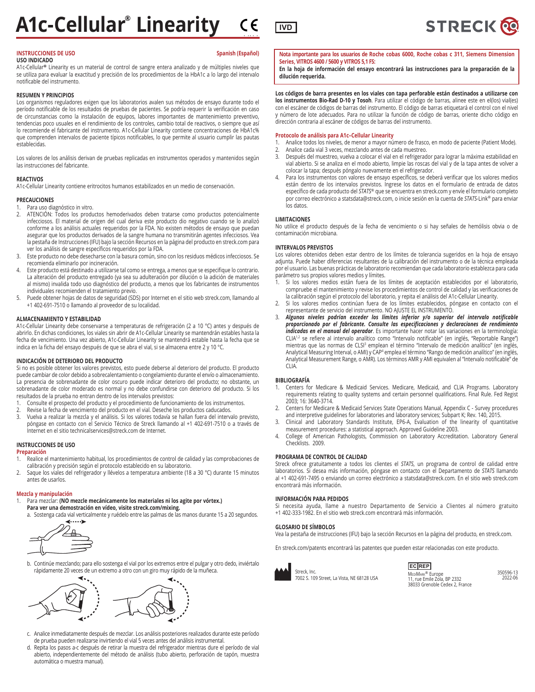# 2797 **A1c-Cellular® Linearity IVD**

# **INSTRUCCIONES DE USO** Spanish (Español)

# **USO INDICADO**

A1c-Cellular**®** Linearity es un material de control de sangre entera analizado y de múltiples niveles que se utiliza para evaluar la exactitud y precisión de los procedimientos de la HbA1c a lo largo del intervalo notificable del instrumento.

# **RESUMEN Y PRINCIPIOS**

Los organismos reguladores exigen que los laboratorios avalen sus métodos de ensayo durante todo el período notificable de los resultados de pruebas de pacientes. Se podría requerir la verificación en caso de circunstancias como la instalación de equipos, labores importantes de mantenimiento preventivo, tendencias poco usuales en el rendimiento de los controles, cambio total de reactivos, o siempre que así lo recomiende el fabricante del instrumento. A1c-Cellular Linearity contiene concentraciones de HbA1c% que comprenden intervalos de paciente típicos notificables, lo que permite al usuario cumplir las pautas establecidas.

Los valores de los análisis derivan de pruebas replicadas en instrumentos operados y mantenidos según las instrucciones del fabricante.

# **REACTIVOS**

A1c-Cellular Linearity contiene eritrocitos humanos estabilizados en un medio de conservación.

# **PRECAUCIONES**

1. Para uso diagnóstico in vitro.<br>2. ATENCIÓN: Todos los produ

- 2. ATENCIÓN: Todos los productos hemoderivados deben tratarse como productos potencialmente infecciosos. El material de origen del cual deriva este producto dio negativo cuando se lo analizó conforme a los análisis actuales requeridos por la FDA. No existen métodos de ensayo que puedan asegurar que los productos derivados de la sangre humana no transmitirán agentes infecciosos. Vea la pestaña de Instrucciones (IFU) bajo la sección Recursos en la página del producto en streck.com para ver los análisis de sangre específicos requeridos por la FDA.
- 3. Este producto no debe desecharse con la basura común, sino con los residuos médicos infecciosos. Se recomienda eliminarlo por incineración.
- 4. Este producto está destinado a utilizarse tal como se entrega, a menos que se especifique lo contrario. La alteración del producto entregado (ya sea su adulteración por dilución o la adición de materiales al mismo) invalida todo uso diagnóstico del producto, a menos que los fabricantes de instrumentos individuales recomienden el tratamiento previo.
- 5. Puede obtener hojas de datos de seguridad (SDS) por Internet en el sitio web streck.com, llamando al +1 402-691-7510 o llamando al proveedor de su localidad.

# **ALMACENAMIENTO Y ESTABILIDAD**

A1c-Cellular Linearity debe conservarse a temperaturas de refrigeración (2 a 10 °C) antes y después de abrirlo. En dichas condiciones, los viales sin abrir de A1c-Cellular Linearity se mantendrán estables hasta la fecha de vencimiento. Una vez abierto, A1c-Cellular Linearity se mantendrá estable hasta la fecha que se indica en la ficha del ensayo después de que se abra el vial, si se almacena entre 2 y 10 °C.

# **INDICACIÓN DE DETERIORO DEL PRODUCTO**

Si no es posible obtener los valores previstos, esto puede deberse al deterioro del producto. El producto puede cambiar de color debido a sobrecalentamiento o congelamiento durante el envío o almacenamiento. La presencia de sobrenadante de color oscuro puede indicar deterioro del producto; no obstante, un sobrenadante de color moderado es normal y no debe confundirse con deterioro del producto. Si los resultados de la prueba no entran dentro de los intervalos previstos:

- Consulte el prospecto del producto y el procedimiento de funcionamiento de los instrumentos.
- 2. Revise la fecha de vencimiento del producto en el vial. Deseche los productos caducados.
- 3. Vuelva a realizar la mezcla y el análisis. Si los valores todavía se hallan fuera del intervalo previsto, póngase en contacto con el Servicio Técnico de Streck llamando al +1 402-691-7510 o a través de Internet en el sitio technicalservices@streck.com de Internet.

## **INSTRUCCIONES DE USO**

# **Preparación**

- 1. Realice el mantenimiento habitual, los procedimientos de control de calidad y las comprobaciones de calibración y precisión según el protocolo establecido en su laboratorio.
- 2. Saque los viales del refrigerador y llévelos a temperatura ambiente (18 a 30 °C) durante 15 minutos antes de usarlos.

# **Mezcla y manipulación**

# 1. Para mezclar: **(NO mezcle mecánicamente los materiales ni los agite por vórtex.) Para ver una demostración en vídeo, visite streck.com/mixing.**

a. Sostenga cada vial verticalmente y ruédelo entre las palmas de las manos durante 15 a 20 segundos.<br> **Accessive** 



b. Continúe mezclando; para ello sostenga el vial por los extremos entre el pulgar y otro dedo, inviértalo rápidamente 20 veces de un extremo a otro con un giro muy rápido de la muñeca.



- c. Analice inmediatamente después de mezclar. Los análisis posteriores realizados durante este período de prueba pueden realizarse invirtiendo el vial 5 veces antes del análisis instrumental.
- d. Repita los pasos a-c después de retirar la muestra del refrigerador mientras dure el período de vial abierto, independientemente del método de análisis (tubo abierto, perforación de tapón, muestra automática o muestra manual).

**Nota importante para los usuarios de Roche cobas 6000, Roche cobas c 311, Siemens Dimension Series, VITROS 4600 / 5600 y VITROS 5,1 FS:**

**En la hoja de información del ensayo encontrará las instrucciones para la preparación de la dilución requerida.**

**Los códigos de barra presentes en los viales con tapa perforable están destinados a utilizarse con los instrumentos Bio-Rad D-10 y Tosoh**. Para utilizar el código de barras, alinee este en el(los) vial(es) con el escáner de códigos de barras del instrumento. El código de barras etiquetará el control con el nivel y número de lote adecuados. Para no utilizar la función de código de barras, oriente dicho código en dirección contraria al escáner de códigos de barras del instrumento.

# **Protocolo de análisis para A1c–Cellular Linearity**

- 1. Analice todos los niveles, de menor a mayor número de frasco, en modo de paciente (Patient Mode).
- 2. Analice cada vial 3 veces, mezclando antes de cada muestreo.
- Después del muestreo, vuelva a colocar el vial en el refrigerador para lograr la máxima estabilidad en vial abierto. Si se analiza en el modo abierto, limpie las roscas del vial y de la tapa antes de volver a colocar la tapa; después póngalo nuevamente en el refrigerador.
- 4. Para los instrumentos con valores de ensayo específicos, se deberá verificar que los valores medios están dentro de los intervalos previstos. Ingrese los datos en el formulario de entrada de datos específico de cada producto del *STATS*® que se encuentra en streck.com y envíe el formulario completo por correo electrónico a statsdata@streck.com, o inicie sesión en la cuenta de *STATS*-Link® para enviar los datos.

# **LIMITACIONES**

No utilice el producto después de la fecha de vencimiento o si hay señales de hemólisis obvia o de contaminación microbiana.

# **INTERVALOS PREVISTOS**

Los valores obtenidos deben estar dentro de los límites de tolerancia sugeridos en la hoja de ensayo adjunta. Puede haber diferencias resultantes de la calibración del instrumento o de la técnica empleada por el usuario. Las buenas prácticas de laboratorio recomiendan que cada laboratorio establezca para cada parámetro sus propios valores medios y límites.

- .<br>1. Si los valores medios están fuera de los límites de aceptación establecidos por el laboratorio, compruebe el mantenimiento y revise los procedimientos de control de calidad y las verificaciones de la calibración según el protocolo del laboratorio, y repita el análisis del A1c-Cellular Linearity.
- 2. Si los valores medios continúan fuera de los límites establecidos, póngase en contacto con el representante de servicio del instrumento. NO AJUSTE EL INSTRUMENTO.
- 3. *Algunos niveles podrían exceder los límites inferior y/o superior del intervalo notificable proporcionado por el fabricante. Consulte las especificaciones y declaraciones de rendimiento indicadas en el manual del operador*. Es importante hacer notar las variaciones en la terminología: CLIA1,2 se refiere al intervalo analítico como "Intervalo notificable" (en inglés, "Reportable Range") mientras que las normas de CLSI<sup>3</sup> emplean el término "Intervalo de medición analítico" (en inglés, Analytical Measuring Interval, o AMI) y CAP4 emplea el término "Rango de medición analítico" (en inglés, Analytical Measurement Range, o AMR). Los términos AMR y AMI equivalen al "Intervalo notificable" de  $C<sub>II</sub>$

# **BIBLIOGRAFÍA**

- 1. Centers for Medicare & Medicaid Services. Medicare, Medicaid, and CLIA Programs. Laboratory requirements relating to quality systems and certain personnel qualifications. Final Rule. Fed Regist 2003; 16: 3640-3714.
- 2. Centers for Medicare & Medicaid Services State Operations Manual, Appendix C Survey procedures and interpretive guidelines for laboratories and laboratory services; Subpart K; Rev. 140, 2015.
- 3. Clinical and Laboratory Standards Institute, EP6-A, Evaluation of the linearity of quantitative measurement procedures: a statistical approach. Approved Guideline 2003.
- 4. College of American Pathologists, Commission on Laboratory Accreditation. Laboratory General Checklists. 2009.

# **PROGRAMA DE CONTROL DE CALIDAD**

Streck ofrece gratuitamente a todos los clientes el *STATS*, un programa de control de calidad entre laboratorios. Si desea más información, póngase en contacto con el Departamento de *STATS* llamando al +1 402-691-7495 o enviando un correo electrónico a statsdata@streck.com. En el sitio web streck.com encontrará más información.

# **INFORMACIÓN PARA PEDIDOS**

Si necesita ayuda, llame a nuestro Departamento de Servicio a Clientes al número gratuito +1 402-333-1982. En el sitio web streck.com encontrará más información.

# **GLOSARIO DE SÍMBOLOS**

Vea la pestaña de instrucciones (IFU) bajo la sección Recursos en la página del producto, en streck.com.

En streck.com/patents encontrará las patentes que pueden estar relacionadas con este producto.



MEDIMARK<sup>®</sup> Europe<br>11, rue Emile Zola, BP 2332 38033 Grenoble Cedex 2, France **EC REP**

350596-13 2022-06